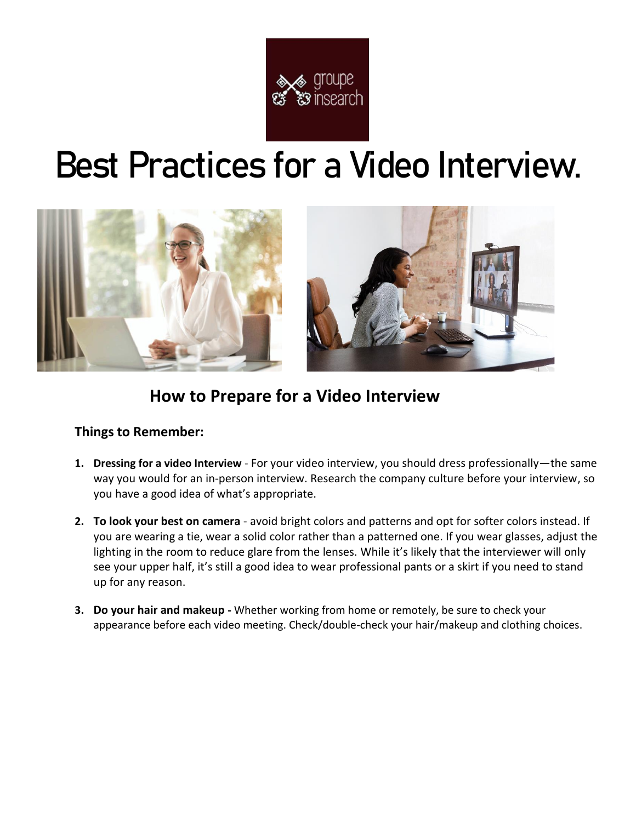

# **Best Practices for a Video Interview.**



### **How to Prepare for a Video Interview**

### **Things to Remember:**

- **1. Dressing for a video Interview** For your video interview, you should dress professionally—the same way you would for an in-person interview. Research the company culture before your interview, so you have a good idea of what's appropriate.
- **2. To look your best on camera** avoid bright colors and patterns and opt for softer colors instead. If you are wearing a tie, wear a solid color rather than a patterned one. If you wear glasses, adjust the lighting in the room to reduce glare from the lenses. While it's likely that the interviewer will only see your upper half, it's still a good idea to wear professional pants or a skirt if you need to stand up for any reason.
- **3. Do your hair and makeup -** Whether working from home or remotely, be sure to check your appearance before each video meeting. Check/double-check your hair/makeup and clothing choices.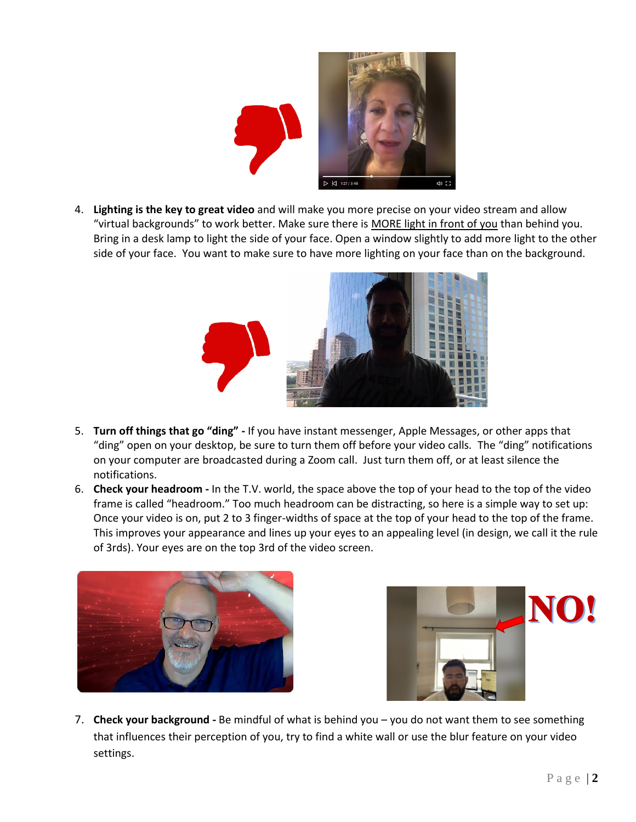

4. **Lighting is the key to great video** and will make you more precise on your video stream and allow "virtual backgrounds" to work better. Make sure there is MORE light in front of you than behind you. Bring in a desk lamp to light the side of your face. Open a window slightly to add more light to the other side of your face. You want to make sure to have more lighting on your face than on the background.



- 5. **Turn off things that go "ding" -** If you have instant messenger, Apple Messages, or other apps that "ding" open on your desktop, be sure to turn them off before your video calls. The "ding" notifications on your computer are broadcasted during a Zoom call. Just turn them off, or at least silence the notifications.
- 6. **Check your headroom -** In the T.V. world, the space above the top of your head to the top of the video frame is called "headroom." Too much headroom can be distracting, so here is a simple way to set up: Once your video is on, put 2 to 3 finger-widths of space at the top of your head to the top of the frame. This improves your appearance and lines up your eyes to an appealing level (in design, we call it the rule of 3rds). Your eyes are on the top 3rd of the video screen.





7. **Check your background -** Be mindful of what is behind you – you do not want them to see something that influences their perception of you, try to find a white wall or use the blur feature on your video settings.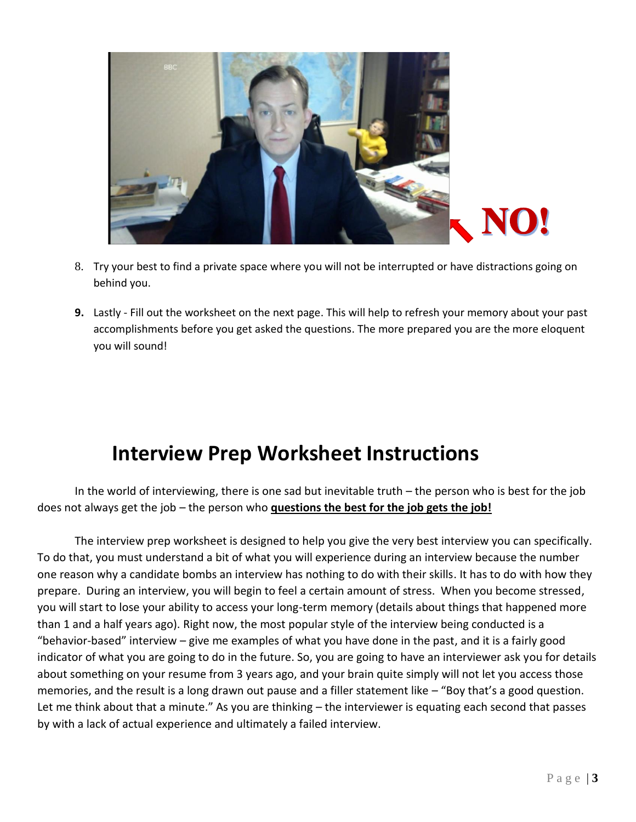

- 8. Try your best to find a private space where you will not be interrupted or have distractions going on behind you.
- **9.** Lastly Fill out the worksheet on the next page. This will help to refresh your memory about your past accomplishments before you get asked the questions. The more prepared you are the more eloquent you will sound!

## **Interview Prep Worksheet Instructions**

In the world of interviewing, there is one sad but inevitable truth – the person who is best for the job does not always get the job – the person who **questions the best for the job gets the job!** 

The interview prep worksheet is designed to help you give the very best interview you can specifically. To do that, you must understand a bit of what you will experience during an interview because the number one reason why a candidate bombs an interview has nothing to do with their skills. It has to do with how they prepare. During an interview, you will begin to feel a certain amount of stress. When you become stressed, you will start to lose your ability to access your long-term memory (details about things that happened more than 1 and a half years ago). Right now, the most popular style of the interview being conducted is a "behavior-based" interview – give me examples of what you have done in the past, and it is a fairly good indicator of what you are going to do in the future. So, you are going to have an interviewer ask you for details about something on your resume from 3 years ago, and your brain quite simply will not let you access those memories, and the result is a long drawn out pause and a filler statement like – "Boy that's a good question. Let me think about that a minute." As you are thinking – the interviewer is equating each second that passes by with a lack of actual experience and ultimately a failed interview.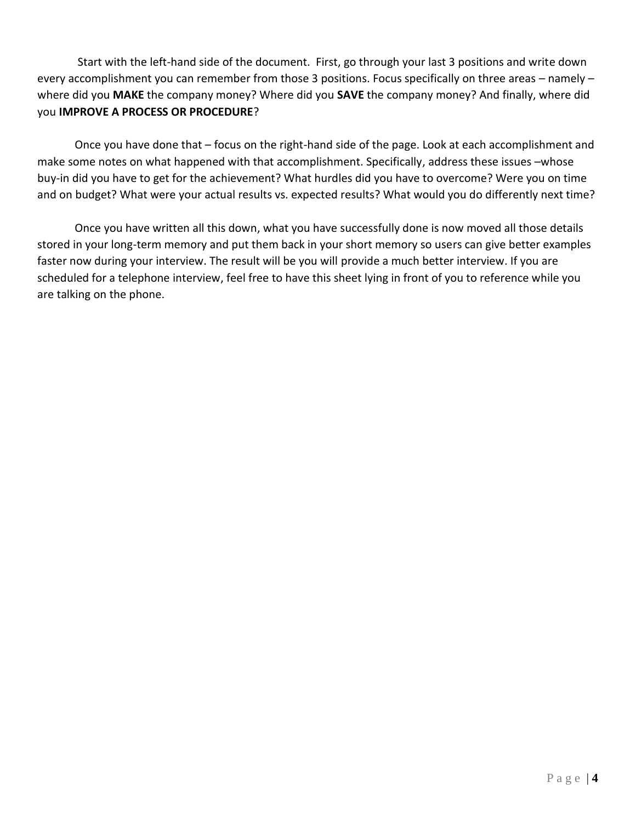Start with the left-hand side of the document. First, go through your last 3 positions and write down every accomplishment you can remember from those 3 positions. Focus specifically on three areas – namely – where did you **MAKE** the company money? Where did you **SAVE** the company money? And finally, where did you **IMPROVE A PROCESS OR PROCEDURE**?

Once you have done that – focus on the right-hand side of the page. Look at each accomplishment and make some notes on what happened with that accomplishment. Specifically, address these issues –whose buy-in did you have to get for the achievement? What hurdles did you have to overcome? Were you on time and on budget? What were your actual results vs. expected results? What would you do differently next time?

Once you have written all this down, what you have successfully done is now moved all those details stored in your long-term memory and put them back in your short memory so users can give better examples faster now during your interview. The result will be you will provide a much better interview. If you are scheduled for a telephone interview, feel free to have this sheet lying in front of you to reference while you are talking on the phone.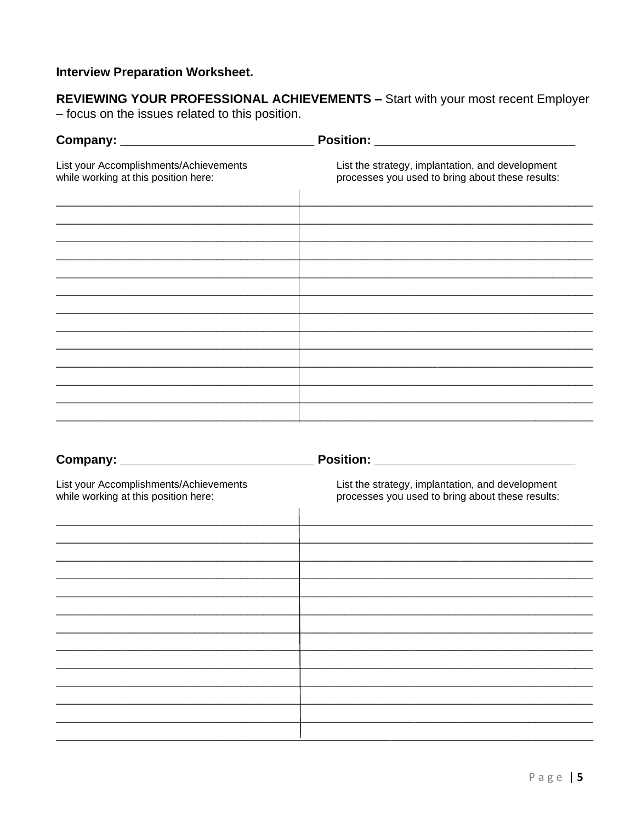### **Interview Preparation Worksheet.**

**REVIEWING YOUR PROFESSIONAL ACHIEVEMENTS - Start with your most recent Employer** - focus on the issues related to this position.

| List your Accomplishments/Achievements<br>while working at this position here: | List the strategy, implantation, and development<br>processes you used to bring about these results: |
|--------------------------------------------------------------------------------|------------------------------------------------------------------------------------------------------|
|                                                                                |                                                                                                      |
|                                                                                |                                                                                                      |
|                                                                                |                                                                                                      |
|                                                                                |                                                                                                      |
|                                                                                |                                                                                                      |
|                                                                                |                                                                                                      |
|                                                                                |                                                                                                      |

| List your Accomplishments/Achievements<br>while working at this position here: | List the strategy, implantation, and development<br>processes you used to bring about these results: |
|--------------------------------------------------------------------------------|------------------------------------------------------------------------------------------------------|
|                                                                                |                                                                                                      |
|                                                                                |                                                                                                      |
|                                                                                |                                                                                                      |
|                                                                                |                                                                                                      |
|                                                                                |                                                                                                      |
|                                                                                |                                                                                                      |

### Page | 5